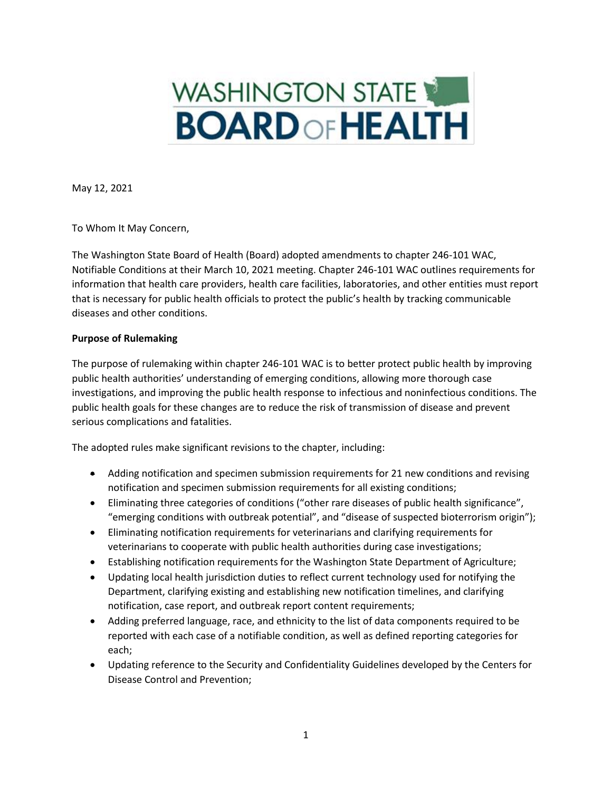# WASHINGTON STATE **BOARD OF HEALTH**

May 12, 2021

To Whom It May Concern,

The Washington State Board of Health (Board) adopted amendments to chapter 246-101 WAC, Notifiable Conditions at their March 10, 2021 meeting. Chapter 246-101 WAC outlines requirements for information that health care providers, health care facilities, laboratories, and other entities must report that is necessary for public health officials to protect the public's health by tracking communicable diseases and other conditions.

## **Purpose of Rulemaking**

The purpose of rulemaking within chapter 246-101 WAC is to better protect public health by improving public health authorities' understanding of emerging conditions, allowing more thorough case investigations, and improving the public health response to infectious and noninfectious conditions. The public health goals for these changes are to reduce the risk of transmission of disease and prevent serious complications and fatalities.

The adopted rules make significant revisions to the chapter, including:

- Adding notification and specimen submission requirements for 21 new conditions and revising notification and specimen submission requirements for all existing conditions;
- Eliminating three categories of conditions ("other rare diseases of public health significance", "emerging conditions with outbreak potential", and "disease of suspected bioterrorism origin");
- Eliminating notification requirements for veterinarians and clarifying requirements for veterinarians to cooperate with public health authorities during case investigations;
- Establishing notification requirements for the Washington State Department of Agriculture;
- Updating local health jurisdiction duties to reflect current technology used for notifying the Department, clarifying existing and establishing new notification timelines, and clarifying notification, case report, and outbreak report content requirements;
- Adding preferred language, race, and ethnicity to the list of data components required to be reported with each case of a notifiable condition, as well as defined reporting categories for each;
- Updating reference to the Security and Confidentiality Guidelines developed by the Centers for Disease Control and Prevention;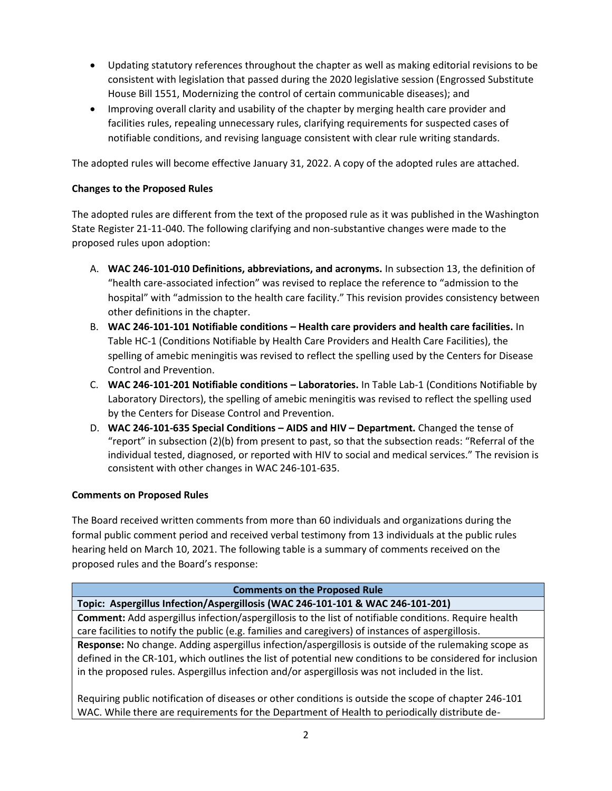- Updating statutory references throughout the chapter as well as making editorial revisions to be consistent with legislation that passed during the 2020 legislative session (Engrossed Substitute House Bill 1551, Modernizing the control of certain communicable diseases); and
- Improving overall clarity and usability of the chapter by merging health care provider and facilities rules, repealing unnecessary rules, clarifying requirements for suspected cases of notifiable conditions, and revising language consistent with clear rule writing standards.

The adopted rules will become effective January 31, 2022. A copy of the adopted rules are attached.

# **Changes to the Proposed Rules**

The adopted rules are different from the text of the proposed rule as it was published in the Washington State Register 21-11-040. The following clarifying and non-substantive changes were made to the proposed rules upon adoption:

- A. **WAC 246-101-010 Definitions, abbreviations, and acronyms.** In subsection 13, the definition of "health care-associated infection" was revised to replace the reference to "admission to the hospital" with "admission to the health care facility." This revision provides consistency between other definitions in the chapter.
- B. **WAC 246-101-101 Notifiable conditions – Health care providers and health care facilities.** In Table HC-1 (Conditions Notifiable by Health Care Providers and Health Care Facilities), the spelling of amebic meningitis was revised to reflect the spelling used by the Centers for Disease Control and Prevention.
- C. **WAC 246-101-201 Notifiable conditions – Laboratories.** In Table Lab-1 (Conditions Notifiable by Laboratory Directors), the spelling of amebic meningitis was revised to reflect the spelling used by the Centers for Disease Control and Prevention.
- D. **WAC 246-101-635 Special Conditions – AIDS and HIV – Department.** Changed the tense of "report" in subsection (2)(b) from present to past, so that the subsection reads: "Referral of the individual tested, diagnosed, or reported with HIV to social and medical services." The revision is consistent with other changes in WAC 246-101-635.

# **Comments on Proposed Rules**

The Board received written comments from more than 60 individuals and organizations during the formal public comment period and received verbal testimony from 13 individuals at the public rules hearing held on March 10, 2021. The following table is a summary of comments received on the proposed rules and the Board's response:

| <b>Comments on the Proposed Rule</b>                                                                         |
|--------------------------------------------------------------------------------------------------------------|
| Topic: Aspergillus Infection/Aspergillosis (WAC 246-101-101 & WAC 246-101-201)                               |
| <b>Comment:</b> Add aspergillus infection/aspergillosis to the list of notifiable conditions. Require health |
| care facilities to notify the public (e.g. families and caregivers) of instances of aspergillosis.           |
| Response: No change. Adding aspergillus infection/aspergillosis is outside of the rulemaking scope as        |
| defined in the CR-101, which outlines the list of potential new conditions to be considered for inclusion    |
| in the proposed rules. Aspergillus infection and/or aspergillosis was not included in the list.              |
|                                                                                                              |
| Requiring public notification of diseases or other conditions is outside the scope of chapter 246-101        |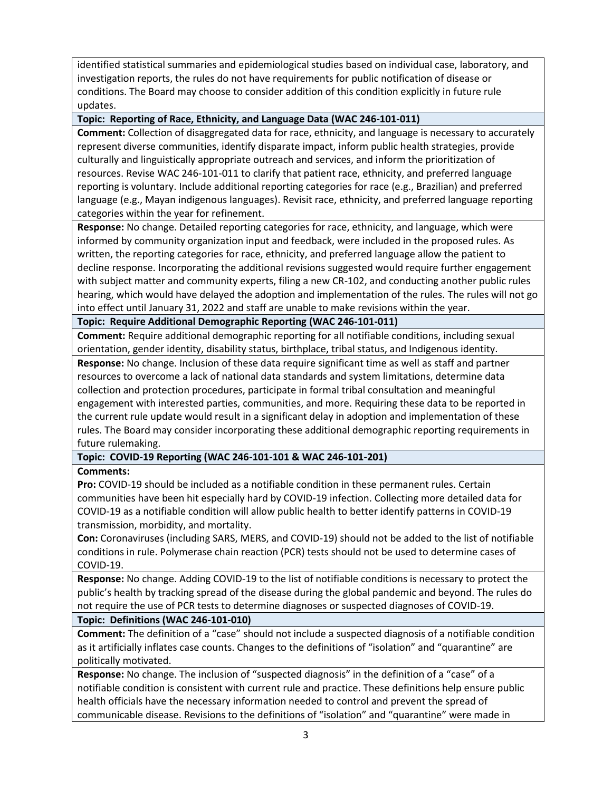identified statistical summaries and epidemiological studies based on individual case, laboratory, and investigation reports, the rules do not have requirements for public notification of disease or conditions. The Board may choose to consider addition of this condition explicitly in future rule updates.

## **Topic: Reporting of Race, Ethnicity, and Language Data (WAC 246-101-011)**

**Comment:** Collection of disaggregated data for race, ethnicity, and language is necessary to accurately represent diverse communities, identify disparate impact, inform public health strategies, provide culturally and linguistically appropriate outreach and services, and inform the prioritization of resources. Revise WAC 246-101-011 to clarify that patient race, ethnicity, and preferred language reporting is voluntary. Include additional reporting categories for race (e.g., Brazilian) and preferred language (e.g., Mayan indigenous languages). Revisit race, ethnicity, and preferred language reporting categories within the year for refinement.

**Response:** No change. Detailed reporting categories for race, ethnicity, and language, which were informed by community organization input and feedback, were included in the proposed rules. As written, the reporting categories for race, ethnicity, and preferred language allow the patient to decline response. Incorporating the additional revisions suggested would require further engagement with subject matter and community experts, filing a new CR-102, and conducting another public rules hearing, which would have delayed the adoption and implementation of the rules. The rules will not go into effect until January 31, 2022 and staff are unable to make revisions within the year.

### **Topic: Require Additional Demographic Reporting (WAC 246-101-011)**

**Comment:** Require additional demographic reporting for all notifiable conditions, including sexual orientation, gender identity, disability status, birthplace, tribal status, and Indigenous identity.

**Response:** No change. Inclusion of these data require significant time as well as staff and partner resources to overcome a lack of national data standards and system limitations, determine data collection and protection procedures, participate in formal tribal consultation and meaningful engagement with interested parties, communities, and more. Requiring these data to be reported in the current rule update would result in a significant delay in adoption and implementation of these rules. The Board may consider incorporating these additional demographic reporting requirements in future rulemaking.

# **Topic: COVID-19 Reporting (WAC 246-101-101 & WAC 246-101-201)**

### **Comments:**

**Pro:** COVID-19 should be included as a notifiable condition in these permanent rules. Certain communities have been hit especially hard by COVID-19 infection. Collecting more detailed data for COVID-19 as a notifiable condition will allow public health to better identify patterns in COVID-19 transmission, morbidity, and mortality.

**Con:** Coronaviruses (including SARS, MERS, and COVID-19) should not be added to the list of notifiable conditions in rule. Polymerase chain reaction (PCR) tests should not be used to determine cases of COVID-19.

**Response:** No change. Adding COVID-19 to the list of notifiable conditions is necessary to protect the public's health by tracking spread of the disease during the global pandemic and beyond. The rules do not require the use of PCR tests to determine diagnoses or suspected diagnoses of COVID-19.

### **Topic: Definitions (WAC 246-101-010)**

**Comment:** The definition of a "case" should not include a suspected diagnosis of a notifiable condition as it artificially inflates case counts. Changes to the definitions of "isolation" and "quarantine" are politically motivated.

**Response:** No change. The inclusion of "suspected diagnosis" in the definition of a "case" of a notifiable condition is consistent with current rule and practice. These definitions help ensure public health officials have the necessary information needed to control and prevent the spread of communicable disease. Revisions to the definitions of "isolation" and "quarantine" were made in